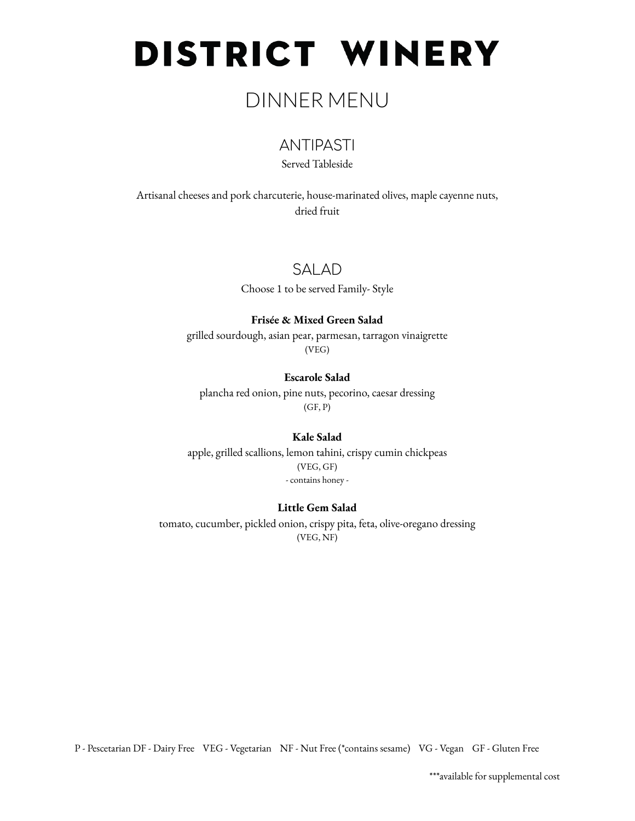## DINNER MENU

### ANTIPASTI

Served Tableside

Artisanal cheeses and pork charcuterie, house-marinated olives, maple cayenne nuts, dried fruit

### SALAD

Choose 1 to be served Family- Style

### **Frisée & Mixed Green Salad**

grilled sourdough, asian pear, parmesan, tarragon vinaigrette (VEG)

### **Escarole Salad**

plancha red onion, pine nuts, pecorino, caesar dressing (GF, P)

### **Kale Salad**

apple, grilled scallions, lemon tahini, crispy cumin chickpeas (VEG, GF) - contains honey -

### **Little Gem Salad**

tomato, cucumber, pickled onion, crispy pita, feta, olive-oregano dressing (VEG, NF)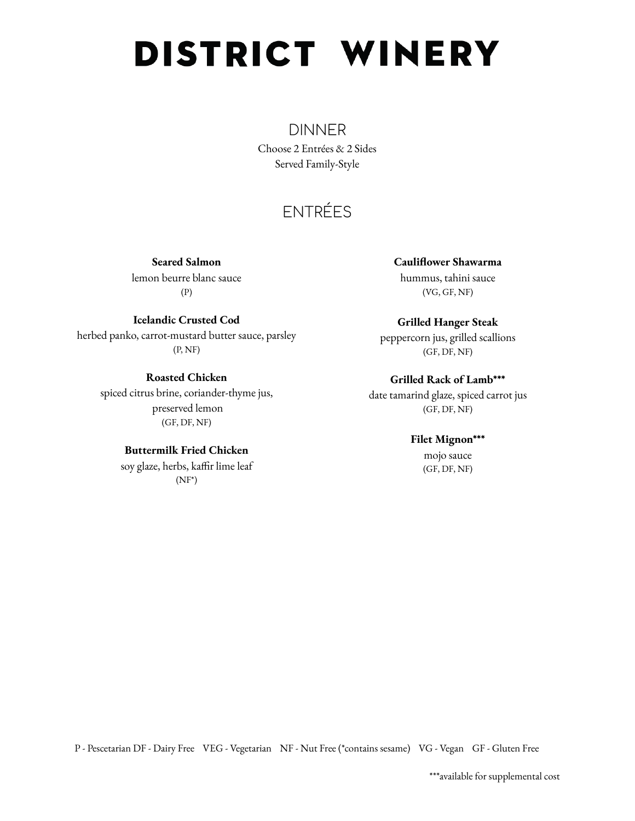### DINNER

Choose 2 Entrées & 2 Sides Served Family-Style

### ENTRÉES

**Seared Salmon** lemon beurre blanc sauce (P)

### **Icelandic Crusted Cod**

herbed panko, carrot-mustard butter sauce, parsley (P, NF)

### **Roasted Chicken**

spiced citrus brine, coriander-thyme jus, preserved lemon (GF, DF, NF)

### **Buttermilk Fried Chicken**

soy glaze, herbs, kaffir lime leaf (NF\*)

**Cauliflower Shawarma** hummus, tahini sauce (VG, GF, NF)

### **Grilled Hanger Steak**

peppercorn jus, grilled scallions (GF, DF, NF)

### **Grilled Rack of Lamb\*\*\***

date tamarind glaze, spiced carrot jus (GF, DF, NF)

### **Filet Mignon\*\*\***

mojo sauce (GF, DF, NF)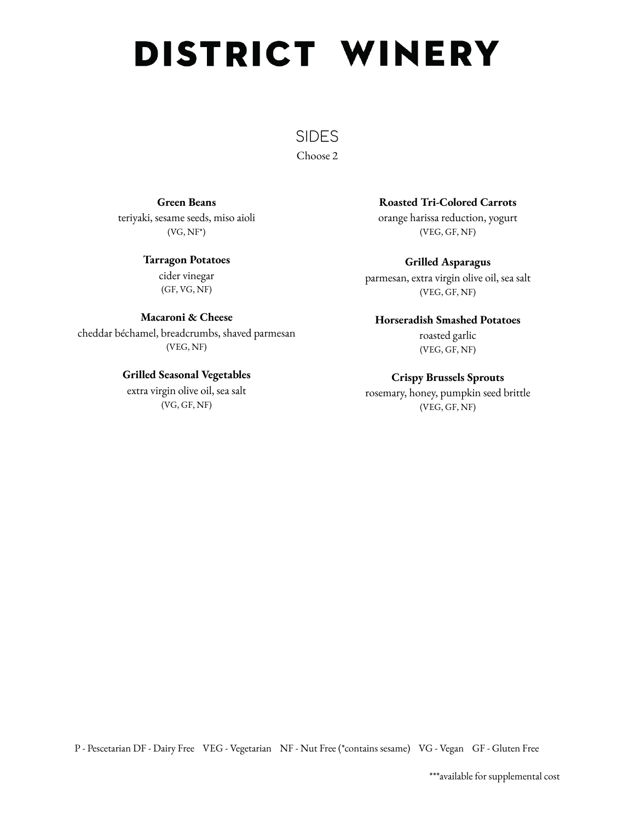SIDES

Choose 2

### **Green Beans**

teriyaki, sesame seeds, miso aioli (VG, NF\*)

### **Tarragon Potatoes**

cider vinegar (GF, VG, NF)

### **Macaroni & Cheese**

cheddar béchamel, breadcrumbs, shaved parmesan (VEG, NF)

### **Grilled Seasonal Vegetables**

extra virgin olive oil, sea salt (VG, GF, NF)

### **Roasted Tri-Colored Carrots**

orange harissa reduction, yogurt (VEG, GF, NF)

### **Grilled Asparagus**

parmesan, extra virgin olive oil, sea salt (VEG, GF, NF)

### **Horseradish Smashed Potatoes**

roasted garlic (VEG, GF, NF)

### **Crispy Brussels Sprouts**

rosemary, honey, pumpkin seed brittle (VEG, GF, NF)